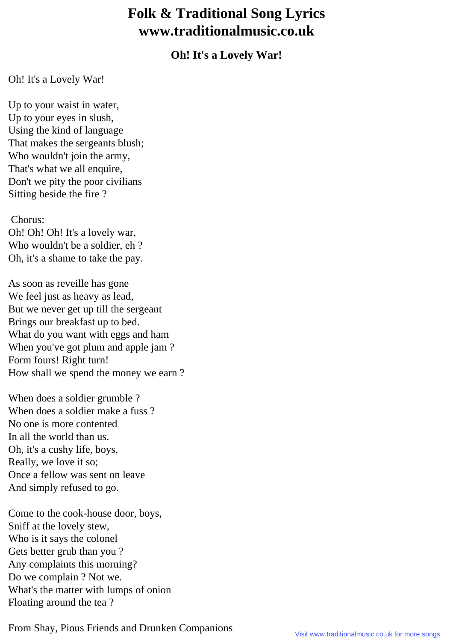## **Folk & Traditional Song Lyrics www.traditionalmusic.co.uk**

## **Oh! It's a Lovely War!**

## Oh! It's a Lovely War!

Up to your waist in water, Up to your eyes in slush, Using the kind of language That makes the sergeants blush; Who wouldn't join the army, That's what we all enquire, Don't we pity the poor civilians Sitting beside the fire ?

Chorus:

Oh! Oh! Oh! It's a lovely war, Who wouldn't be a soldier, eh ? Oh, it's a shame to take the pay.

As soon as reveille has gone We feel just as heavy as lead, But we never get up till the sergeant Brings our breakfast up to bed. What do you want with eggs and ham When you've got plum and apple jam ? Form fours! Right turn! How shall we spend the money we earn ?

When does a soldier grumble ? When does a soldier make a fuss ? No one is more contented In all the world than us. Oh, it's a cushy life, boys, Really, we love it so; Once a fellow was sent on leave And simply refused to go.

Come to the cook-house door, boys, Sniff at the lovely stew, Who is it says the colonel Gets better grub than you ? Any complaints this morning? Do we complain ? Not we. What's the matter with lumps of onion Floating around the tea ?

From Shay, Pious Friends and Drunken Companions